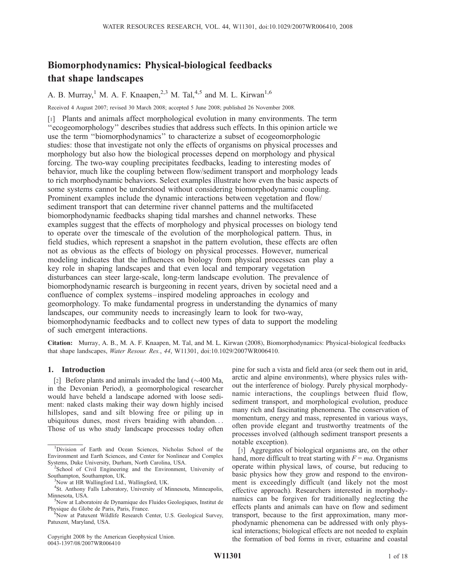# Biomorphodynamics: Physical-biological feedbacks that shape landscapes

A. B. Murray,<sup>1</sup> M. A. F. Knaapen,<sup>2,3</sup> M. Tal,<sup>4,5</sup> and M. L. Kirwan<sup>1,6</sup>

Received 4 August 2007; revised 30 March 2008; accepted 5 June 2008; published 26 November 2008.

[1] Plants and animals affect morphological evolution in many environments. The term ''ecogeomorphology'' describes studies that address such effects. In this opinion article we use the term ''biomorphodynamics'' to characterize a subset of ecogeomorphologic studies: those that investigate not only the effects of organisms on physical processes and morphology but also how the biological processes depend on morphology and physical forcing. The two-way coupling precipitates feedbacks, leading to interesting modes of behavior, much like the coupling between flow/sediment transport and morphology leads to rich morphodynamic behaviors. Select examples illustrate how even the basic aspects of some systems cannot be understood without considering biomorphodynamic coupling. Prominent examples include the dynamic interactions between vegetation and flow/ sediment transport that can determine river channel patterns and the multifaceted biomorphodynamic feedbacks shaping tidal marshes and channel networks. These examples suggest that the effects of morphology and physical processes on biology tend to operate over the timescale of the evolution of the morphological pattern. Thus, in field studies, which represent a snapshot in the pattern evolution, these effects are often not as obvious as the effects of biology on physical processes. However, numerical modeling indicates that the influences on biology from physical processes can play a key role in shaping landscapes and that even local and temporary vegetation disturbances can steer large-scale, long-term landscape evolution. The prevalence of biomorphodynamic research is burgeoning in recent years, driven by societal need and a confluence of complex systems–inspired modeling approaches in ecology and geomorphology. To make fundamental progress in understanding the dynamics of many landscapes, our community needs to increasingly learn to look for two-way, biomorphodynamic feedbacks and to collect new types of data to support the modeling of such emergent interactions.

Citation: Murray, A. B., M. A. F. Knaapen, M. Tal, and M. L. Kirwan (2008), Biomorphodynamics: Physical-biological feedbacks that shape landscapes, Water Resour. Res., 44, W11301, doi:10.1029/2007WR006410.

#### 1. Introduction

[2] Before plants and animals invaded the land  $(\sim 400 \text{ Ma})$ , in the Devonian Period), a geomorphological researcher would have beheld a landscape adorned with loose sediment: naked clasts making their way down highly incised hillslopes, sand and silt blowing free or piling up in ubiquitous dunes, most rivers braiding with abandon... Those of us who study landscape processes today often

Copyright 2008 by the American Geophysical Union. 0043-1397/08/2007WR006410

pine for such a vista and field area (or seek them out in arid, arctic and alpine environments), where physics rules without the interference of biology. Purely physical morphodynamic interactions, the couplings between fluid flow, sediment transport, and morphological evolution, produce many rich and fascinating phenomena. The conservation of momentum, energy and mass, represented in various ways, often provide elegant and trustworthy treatments of the processes involved (although sediment transport presents a notable exception).

[3] Aggregates of biological organisms are, on the other hand, more difficult to treat starting with  $F = ma$ . Organisms operate within physical laws, of course, but reducing to basic physics how they grow and respond to the environment is exceedingly difficult (and likely not the most effective approach). Researchers interested in morphodynamics can be forgiven for traditionally neglecting the effects plants and animals can have on flow and sediment transport, because to the first approximation, many morphodynamic phenomena can be addressed with only physical interactions; biological effects are not needed to explain the formation of bed forms in river, estuarine and coastal

<sup>&</sup>lt;sup>1</sup>Division of Earth and Ocean Sciences, Nicholas School of the Environment and Earth Sciences, and Center for Nonlinear and Complex Systems, Duke University, Durham, North Carolina, USA. <sup>2</sup> School of Civil Engineering and the Environment, University of

Southampton, Southampton, UK.

<sup>&</sup>lt;sup>3</sup>Now at HR Wallingford Ltd., Wallingford, UK.

<sup>4</sup> St. Anthony Falls Laboratory, University of Minnesota, Minneapolis, Minnesota, USA.

<sup>&</sup>lt;sup>5</sup>Now at Laboratoire de Dynamique des Fluides Geologiques, Institut de Physique du Globe de Paris, Paris, France.<br><sup>6</sup>Now at Patuxent Wildlife Research Center, U.S. Geological Survey,

Patuxent, Maryland, USA.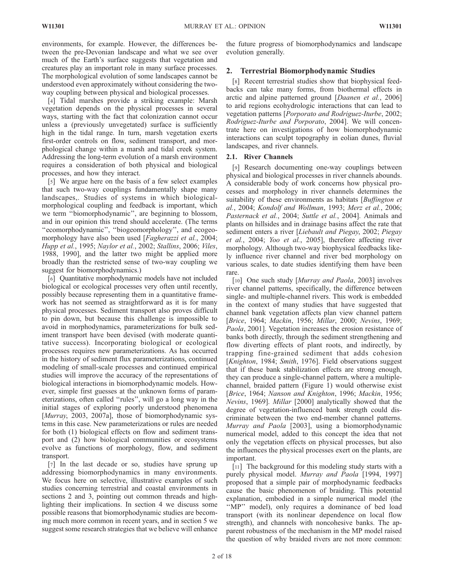environments, for example. However, the differences between the pre-Devonian landscape and what we see over much of the Earth's surface suggests that vegetation and creatures play an important role in many surface processes. The morphological evolution of some landscapes cannot be understood even approximately without considering the twoway coupling between physical and biological processes.

[4] Tidal marshes provide a striking example: Marsh vegetation depends on the physical processes in several ways, starting with the fact that colonization cannot occur unless a (previously unvegetated) surface is sufficiently high in the tidal range. In turn, marsh vegetation exerts first-order controls on flow, sediment transport, and morphological change within a marsh and tidal creek system. Addressing the long-term evolution of a marsh environment requires a consideration of both physical and biological processes, and how they interact.

[5] We argue here on the basis of a few select examples that such two-way couplings fundamentally shape many landscapes,. Studies of systems in which biologicalmorphological coupling and feedback is important, which we term ''biomorphodynamic'', are beginning to blossom, and in our opinion this trend should accelerate. (The terms "ecomorphodynamic", "biogeomorphology", and ecogeomorphology have also been used [Fagherazzi et al., 2004; Hupp et al., 1995; Naylor et al., 2002; Stallins, 2006; Viles, 1988, 1990], and the latter two might be applied more broadly than the restricted sense of two-way coupling we suggest for biomorphodynamics.)

[6] Quantitative morphodynamic models have not included biological or ecological processes very often until recently, possibly because representing them in a quantitative framework has not seemed as straightforward as it is for many physical processes. Sediment transport also proves difficult to pin down, but because this challenge is impossible to avoid in morphodynamics, parameterizations for bulk sediment transport have been devised (with moderate quantitative success). Incorporating biological or ecological processes requires new parameterizations. As has occurred in the history of sediment flux parameterizations, continued modeling of small-scale processes and continued empirical studies will improve the accuracy of the representations of biological interactions in biomorphodynamic models. However, simple first guesses at the unknown forms of parameterizations, often called ''rules'', will go a long way in the initial stages of exploring poorly understood phenomena [Murray, 2003, 2007a], those of biomorphodynamic systems in this case. New parameterizations or rules are needed for both (1) biological effects on flow and sediment transport and (2) how biological communities or ecosystems evolve as functions of morphology, flow, and sediment transport.

[7] In the last decade or so, studies have sprung up addressing biomorphodynamics in many environments. We focus here on selective, illustrative examples of such studies concerning terrestrial and coastal environments in sections 2 and 3, pointing out common threads and highlighting their implications. In section 4 we discuss some possible reasons that biomorphodynamic studies are becoming much more common in recent years, and in section 5 we suggest some research strategies that we believe will enhance the future progress of biomorphodynamics and landscape evolution generally.

### 2. Terrestrial Biomorphodynamic Studies

[8] Recent terrestrial studies show that biophysical feedbacks can take many forms, from biothermal effects in arctic and alpine patterned ground [Daanen et al., 2006] to arid regions ecohydrologic interactions that can lead to vegetation patterns [Porporato and Rodriguez-Iturbe, 2002; Rodriguez-Iturbe and Porporato, 2004]. We will concentrate here on investigations of how biomorphodynamic interactions can sculpt topography in eolian dunes, fluvial landscapes, and river channels.

#### 2.1. River Channels

[9] Research documenting one-way couplings between physical and biological processes in river channels abounds. A considerable body of work concerns how physical processes and morphology in river channels determines the suitability of these environments as habitats [Buffington et] al., 2004; Kondolf and Wollman, 1993; Merz et al., 2006; Pasternack et al., 2004; Suttle et al., 2004]. Animals and plants on hillsides and in drainage basins affect the rate that sediment enters a river [*Liebault and Piegay, 2002; Piegay* et al., 2004; Yoo et al., 2005], therefore affecting river morphology. Although two-way biophysical feedbacks likely influence river channel and river bed morphology on various scales, to date studies identifying them have been rare.

[10] One such study [*Murray and Paola*, 2003] involves river channel patterns, specifically, the difference between single- and multiple-channel rivers. This work is embedded in the context of many studies that have suggested that channel bank vegetation affects plan view channel pattern [Brice, 1964; Mackin, 1956; Millar, 2000; Nevins, 1969; Paola, 2001]. Vegetation increases the erosion resistance of banks both directly, through the sediment strengthening and flow diverting effects of plant roots, and indirectly, by trapping fine-grained sediment that adds cohesion [Knighton, 1984; Smith, 1976]. Field observations suggest that if these bank stabilization effects are strong enough, they can produce a single-channel pattern, where a multiplechannel, braided pattern (Figure 1) would otherwise exist [Brice, 1964; Nanson and Knighton, 1996; Mackin, 1956; Nevins, 1969]. Millar [2000] analytically showed that the degree of vegetation-influenced bank strength could discriminate between the two end-member channel patterns. Murray and Paola [2003], using a biomorphodynamic numerical model, added to this concept the idea that not only the vegetation effects on physical processes, but also the influences the physical processes exert on the plants, are important.

[11] The background for this modeling study starts with a purely physical model. *Murray and Paola* [1994, 1997] proposed that a simple pair of morphodynamic feedbacks cause the basic phenomenon of braiding. This potential explanation, embodied in a simple numerical model (the "MP" model), only requires a dominance of bed load transport (with its nonlinear dependence on local flow strength), and channels with noncohesive banks. The apparent robustness of the mechanism in the MP model raised the question of why braided rivers are not more common: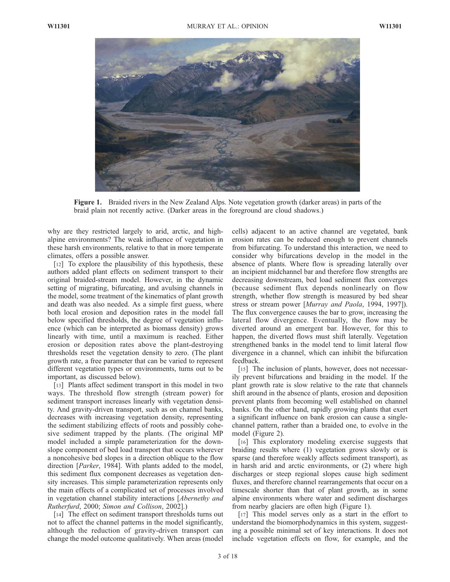

Figure 1. Braided rivers in the New Zealand Alps. Note vegetation growth (darker areas) in parts of the braid plain not recently active. (Darker areas in the foreground are cloud shadows.)

why are they restricted largely to arid, arctic, and highalpine environments? The weak influence of vegetation in these harsh environments, relative to that in more temperate climates, offers a possible answer.

[12] To explore the plausibility of this hypothesis, these authors added plant effects on sediment transport to their original braided-stream model. However, in the dynamic setting of migrating, bifurcating, and avulsing channels in the model, some treatment of the kinematics of plant growth and death was also needed. As a simple first guess, where both local erosion and deposition rates in the model fall below specified thresholds, the degree of vegetation influence (which can be interpreted as biomass density) grows linearly with time, until a maximum is reached. Either erosion or deposition rates above the plant-destroying thresholds reset the vegetation density to zero. (The plant growth rate, a free parameter that can be varied to represent different vegetation types or environments, turns out to be important, as discussed below).

[13] Plants affect sediment transport in this model in two ways. The threshold flow strength (stream power) for sediment transport increases linearly with vegetation density. And gravity-driven transport, such as on channel banks, decreases with increasing vegetation density, representing the sediment stabilizing effects of roots and possibly cohesive sediment trapped by the plants. (The original MP model included a simple parameterization for the downslope component of bed load transport that occurs wherever a noncohesive bed slopes in a direction oblique to the flow direction [Parker, 1984]. With plants added to the model, this sediment flux component decreases as vegetation density increases. This simple parameterization represents only the main effects of a complicated set of processes involved in vegetation channel stability interactions [Abernethy and Rutherfurd, 2000; Simon and Collison, 2002].)

[14] The effect on sediment transport thresholds turns out not to affect the channel patterns in the model significantly, although the reduction of gravity-driven transport can change the model outcome qualitatively. When areas (model

cells) adjacent to an active channel are vegetated, bank erosion rates can be reduced enough to prevent channels from bifurcating. To understand this interaction, we need to consider why bifurcations develop in the model in the absence of plants. Where flow is spreading laterally over an incipient midchannel bar and therefore flow strengths are decreasing downstream, bed load sediment flux converges (because sediment flux depends nonlinearly on flow strength, whether flow strength is measured by bed shear stress or stream power [*Murray and Paola*, 1994, 1997]). The flux convergence causes the bar to grow, increasing the lateral flow divergence. Eventually, the flow may be diverted around an emergent bar. However, for this to happen, the diverted flows must shift laterally. Vegetation strengthened banks in the model tend to limit lateral flow divergence in a channel, which can inhibit the bifurcation feedback.

[15] The inclusion of plants, however, does not necessarily prevent bifurcations and braiding in the model. If the plant growth rate is slow relative to the rate that channels shift around in the absence of plants, erosion and deposition prevent plants from becoming well established on channel banks. On the other hand, rapidly growing plants that exert a significant influence on bank erosion can cause a singlechannel pattern, rather than a braided one, to evolve in the model (Figure 2).

[16] This exploratory modeling exercise suggests that braiding results where (1) vegetation grows slowly or is sparse (and therefore weakly affects sediment transport), as in harsh arid and arctic environments, or (2) where high discharges or steep regional slopes cause high sediment fluxes, and therefore channel rearrangements that occur on a timescale shorter than that of plant growth, as in some alpine environments where water and sediment discharges from nearby glaciers are often high (Figure 1).

[17] This model serves only as a start in the effort to understand the biomorphodynamics in this system, suggesting a possible minimal set of key interactions. It does not include vegetation effects on flow, for example, and the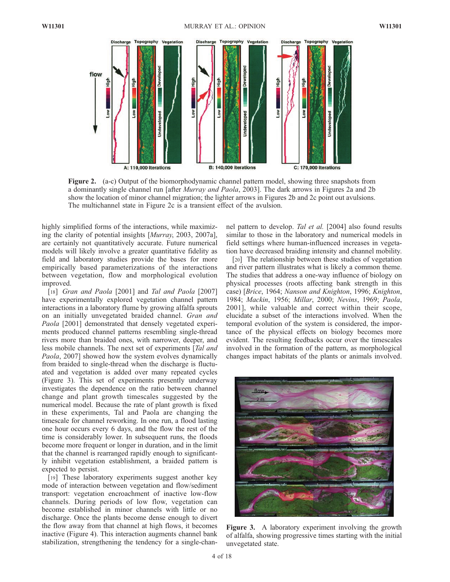

Figure 2. (a-c) Output of the biomorphodynamic channel pattern model, showing three snapshots from a dominantly single channel run [after Murray and Paola, 2003]. The dark arrows in Figures 2a and 2b show the location of minor channel migration; the lighter arrows in Figures 2b and 2c point out avulsions. The multichannel state in Figure 2c is a transient effect of the avulsion.

highly simplified forms of the interactions, while maximizing the clarity of potential insights [Murray, 2003, 2007a], are certainly not quantitatively accurate. Future numerical models will likely involve a greater quantitative fidelity as field and laboratory studies provide the bases for more empirically based parameterizations of the interactions between vegetation, flow and morphological evolution improved.

[18] Gran and Paola [2001] and Tal and Paola [2007] have experimentally explored vegetation channel pattern interactions in a laboratory flume by growing alfalfa sprouts on an initially unvegetated braided channel. Gran and Paola [2001] demonstrated that densely vegetated experiments produced channel patterns resembling single-thread rivers more than braided ones, with narrower, deeper, and less mobile channels. The next set of experiments [Tal and Paola, 2007] showed how the system evolves dynamically from braided to single-thread when the discharge is fluctuated and vegetation is added over many repeated cycles (Figure 3). This set of experiments presently underway investigates the dependence on the ratio between channel change and plant growth timescales suggested by the numerical model. Because the rate of plant growth is fixed in these experiments, Tal and Paola are changing the timescale for channel reworking. In one run, a flood lasting one hour occurs every 6 days, and the flow the rest of the time is considerably lower. In subsequent runs, the floods become more frequent or longer in duration, and in the limit that the channel is rearranged rapidly enough to significantly inhibit vegetation establishment, a braided pattern is expected to persist.

[19] These laboratory experiments suggest another key mode of interaction between vegetation and flow/sediment transport: vegetation encroachment of inactive low-flow channels. During periods of low flow, vegetation can become established in minor channels with little or no discharge. Once the plants become dense enough to divert the flow away from that channel at high flows, it becomes inactive (Figure 4). This interaction augments channel bank stabilization, strengthening the tendency for a single-channel pattern to develop. Tal et al. [2004] also found results similar to those in the laboratory and numerical models in field settings where human-influenced increases in vegetation have decreased braiding intensity and channel mobility.

[20] The relationship between these studies of vegetation and river pattern illustrates what is likely a common theme. The studies that address a one-way influence of biology on physical processes (roots affecting bank strength in this case) [Brice, 1964; Nanson and Knighton, 1996; Knighton, 1984; Mackin, 1956; Millar, 2000; Nevins, 1969; Paola, 2001], while valuable and correct within their scope, elucidate a subset of the interactions involved. When the temporal evolution of the system is considered, the importance of the physical effects on biology becomes more evident. The resulting feedbacks occur over the timescales involved in the formation of the pattern, as morphological changes impact habitats of the plants or animals involved.



Figure 3. A laboratory experiment involving the growth of alfalfa, showing progressive times starting with the initial unvegetated state.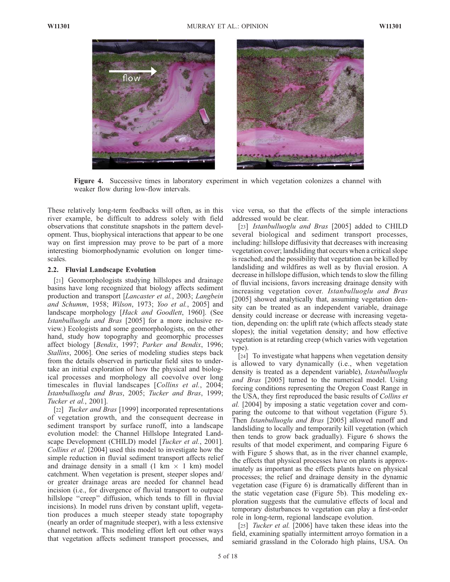

Figure 4. Successive times in laboratory experiment in which vegetation colonizes a channel with weaker flow during low-flow intervals.

These relatively long-term feedbacks will often, as in this river example, be difficult to address solely with field observations that constitute snapshots in the pattern development. Thus, biophysical interactions that appear to be one way on first impression may prove to be part of a more interesting biomorphodynamic evolution on longer timescales.

#### 2.2. Fluvial Landscape Evolution

[21] Geomorphologists studying hillslopes and drainage basins have long recognized that biology affects sediment production and transport [Lancaster et al., 2003; Langbein and Schumm, 1958; Wilson, 1973; Yoo et al., 2005] and landscape morphology [Hack and Goodlett, 1960]. (See Istanbulluoglu and Bras [2005] for a more inclusive review.) Ecologists and some geomorphologists, on the other hand, study how topography and geomorphic processes affect biology [Bendix, 1997; Parker and Bendix, 1996; Stallins, 2006]. One series of modeling studies steps back from the details observed in particular field sites to undertake an initial exploration of how the physical and biological processes and morphology all coevolve over long timescales in fluvial landscapes [Collins et al., 2004; Istanbulluoglu and Bras, 2005; Tucker and Bras, 1999; Tucker et al., 2001].

[22] *Tucker and Bras* [1999] incorporated representations of vegetation growth, and the consequent decrease in sediment transport by surface runoff, into a landscape evolution model: the Channel Hillslope Integrated Landscape Development (CHILD) model [Tucker et al., 2001]. Collins et al. [2004] used this model to investigate how the simple reduction in fluvial sediment transport affects relief and drainage density in a small  $(1 \text{ km } \times 1 \text{ km})$  model catchment. When vegetation is present, steeper slopes and/ or greater drainage areas are needed for channel head incision (i.e., for divergence of fluvial transport to outpace hillslope "creep" diffusion, which tends to fill in fluvial incisions). In model runs driven by constant uplift, vegetation produces a much steeper steady state topography (nearly an order of magnitude steeper), with a less extensive channel network. This modeling effort left out other ways that vegetation affects sediment transport processes, and

vice versa, so that the effects of the simple interactions addressed would be clear.

[23] Istanbulluoglu and Bras [2005] added to CHILD several biological and sediment transport processes, including: hillslope diffusivity that decreases with increasing vegetation cover; landsliding that occurs when a critical slope is reached; and the possibility that vegetation can be killed by landsliding and wildfires as well as by fluvial erosion. A decrease in hillslope diffusion, which tends to slow the filling of fluvial incisions, favors increasing drainage density with increasing vegetation cover. Istanbulluoglu and Bras [2005] showed analytically that, assuming vegetation density can be treated as an independent variable, drainage density could increase or decrease with increasing vegetation, depending on: the uplift rate (which affects steady state slopes); the initial vegetation density; and how effective vegetation is at retarding creep (which varies with vegetation type).

[24] To investigate what happens when vegetation density is allowed to vary dynamically (i.e., when vegetation density is treated as a dependent variable), *Istanbulluoglu* and Bras [2005] turned to the numerical model. Using forcing conditions representing the Oregon Coast Range in the USA, they first reproduced the basic results of Collins et al. [2004] by imposing a static vegetation cover and comparing the outcome to that without vegetation (Figure 5). Then Istanbulluoglu and Bras [2005] allowed runoff and landsliding to locally and temporarily kill vegetation (which then tends to grow back gradually). Figure 6 shows the results of that model experiment, and comparing Figure 6 with Figure 5 shows that, as in the river channel example, the effects that physical processes have on plants is approximately as important as the effects plants have on physical processes; the relief and drainage density in the dynamic vegetation case (Figure 6) is dramatically different than in the static vegetation case (Figure 5b). This modeling exploration suggests that the cumulative effects of local and temporary disturbances to vegetation can play a first-order role in long-term, regional landscape evolution.

[25] *Tucker et al.* [2006] have taken these ideas into the field, examining spatially intermittent arroyo formation in a semiarid grassland in the Colorado high plains, USA. On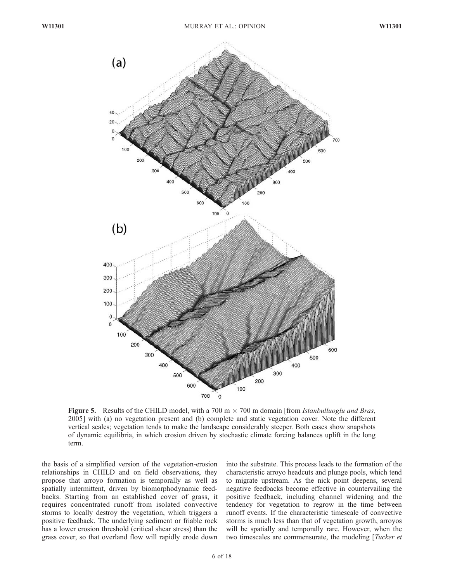

Figure 5. Results of the CHILD model, with a 700 m  $\times$  700 m domain [from *Istanbulluoglu and Bras*, 2005] with (a) no vegetation present and (b) complete and static vegetation cover. Note the different vertical scales; vegetation tends to make the landscape considerably steeper. Both cases show snapshots of dynamic equilibria, in which erosion driven by stochastic climate forcing balances uplift in the long term.

the basis of a simplified version of the vegetation-erosion relationships in CHILD and on field observations, they propose that arroyo formation is temporally as well as spatially intermittent, driven by biomorphodynamic feedbacks. Starting from an established cover of grass, it requires concentrated runoff from isolated convective storms to locally destroy the vegetation, which triggers a positive feedback. The underlying sediment or friable rock has a lower erosion threshold (critical shear stress) than the grass cover, so that overland flow will rapidly erode down into the substrate. This process leads to the formation of the characteristic arroyo headcuts and plunge pools, which tend to migrate upstream. As the nick point deepens, several negative feedbacks become effective in countervailing the positive feedback, including channel widening and the tendency for vegetation to regrow in the time between runoff events. If the characteristic timescale of convective storms is much less than that of vegetation growth, arroyos will be spatially and temporally rare. However, when the two timescales are commensurate, the modeling [Tucker et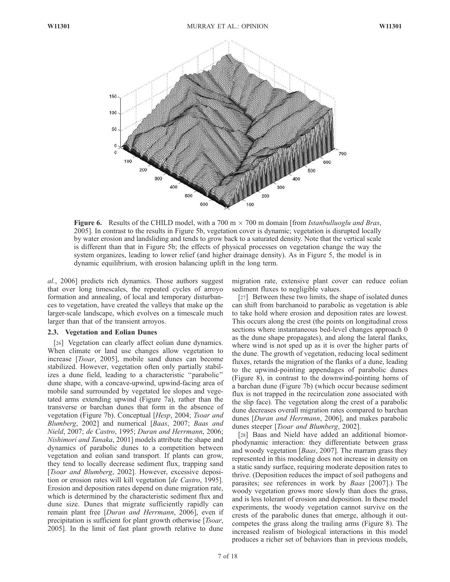

Figure 6. Results of the CHILD model, with a 700 m  $\times$  700 m domain [from *Istanbulluoglu and Bras*, 2005]. In contrast to the results in Figure 5b, vegetation cover is dynamic; vegetation is disrupted locally by water erosion and landsliding and tends to grow back to a saturated density. Note that the vertical scale is different than that in Figure 5b; the effects of physical processes on vegetation change the way the system organizes, leading to lower relief (and higher drainage density). As in Figure 5, the model is in dynamic equilibrium, with erosion balancing uplift in the long term.

al., 2006] predicts rich dynamics. Those authors suggest that over long timescales, the repeated cycles of arroyo formation and annealing, of local and temporary disturbances to vegetation, have created the valleys that make up the larger-scale landscape, which evolves on a timescale much larger than that of the transient arroyos.

### 2.3. Vegetation and Eolian Dunes

[26] Vegetation can clearly affect eolian dune dynamics. When climate or land use changes allow vegetation to increase [Tsoar, 2005], mobile sand dunes can become stabilized. However, vegetation often only partially stabilizes a dune field, leading to a characteristic ''parabolic'' dune shape, with a concave-upwind, upwind-facing area of mobile sand surrounded by vegetated lee slopes and vegetated arms extending upwind (Figure 7a), rather than the transverse or barchan dunes that form in the absence of vegetation (Figure 7b). Conceptual [Hesp, 2004; Tsoar and Blumberg, 2002] and numerical [Baas, 2007; Baas and Nield, 2007; de Castro, 1995; Duran and Herrmann, 2006; Nishimori and Tanaka, 2001] models attribute the shape and dynamics of parabolic dunes to a competition between vegetation and eolian sand transport. If plants can grow, they tend to locally decrease sediment flux, trapping sand [Tsoar and Blumberg, 2002]. However, excessive deposition or erosion rates will kill vegetation [de Castro, 1995]. Erosion and deposition rates depend on dune migration rate, which is determined by the characteristic sediment flux and dune size. Dunes that migrate sufficiently rapidly can remain plant free [Duran and Herrmann, 2006], even if precipitation is sufficient for plant growth otherwise [*Tsoar*, 2005]. In the limit of fast plant growth relative to dune

migration rate, extensive plant cover can reduce eolian sediment fluxes to negligible values.

[27] Between these two limits, the shape of isolated dunes can shift from barchanoid to parabolic as vegetation is able to take hold where erosion and deposition rates are lowest. This occurs along the crest (the points on longitudinal cross sections where instantaneous bed-level changes approach 0 as the dune shape propagates), and along the lateral flanks, where wind is not sped up as it is over the higher parts of the dune. The growth of vegetation, reducing local sediment fluxes, retards the migration of the flanks of a dune, leading to the upwind-pointing appendages of parabolic dunes (Figure 8), in contrast to the downwind-pointing horns of a barchan dune (Figure 7b) (which occur because sediment flux is not trapped in the recirculation zone associated with the slip face). The vegetation along the crest of a parabolic dune decreases overall migration rates compared to barchan dunes [Duran and Herrmann, 2006], and makes parabolic dunes steeper [*Tsoar and Blumberg*, 2002].

[28] Baas and Nield have added an additional biomorphodynamic interaction: they differentiate between grass and woody vegetation [*Baas*, 2007]. The marram grass they represented in this modeling does not increase in density on a static sandy surface, requiring moderate deposition rates to thrive. (Deposition reduces the impact of soil pathogens and parasites; see references in work by Baas [2007].) The woody vegetation grows more slowly than does the grass, and is less tolerant of erosion and deposition. In these model experiments, the woody vegetation cannot survive on the crests of the parabolic dunes that emerge, although it outcompetes the grass along the trailing arms (Figure 8). The increased realism of biological interactions in this model produces a richer set of behaviors than in previous models,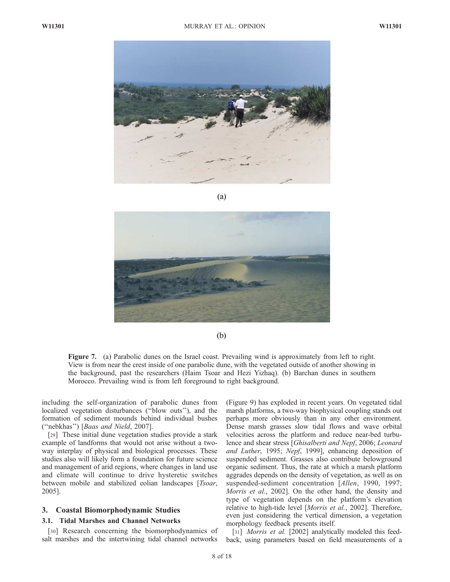

 $(a)$ 



 $(b)$ 

Figure 7. (a) Parabolic dunes on the Israel coast. Prevailing wind is approximately from left to right. View is from near the crest inside of one parabolic dune, with the vegetated outside of another showing in the background, past the researchers (Haim Tsoar and Hezi Yizhaq). (b) Barchan dunes in southern Morocco. Prevailing wind is from left foreground to right background.

including the self-organization of parabolic dunes from localized vegetation disturbances (''blow outs''), and the formation of sediment mounds behind individual bushes (''nebkhas'') [Baas and Nield, 2007].

[29] These initial dune vegetation studies provide a stark example of landforms that would not arise without a twoway interplay of physical and biological processes. These studies also will likely form a foundation for future science and management of arid regions, where changes in land use and climate will continue to drive hysteretic switches between mobile and stabilized eolian landscapes [Tsoar, 2005].

## 3. Coastal Biomorphodynamic Studies

#### 3.1. Tidal Marshes and Channel Networks

[30] Research concerning the biomorphodynamics of salt marshes and the intertwining tidal channel networks (Figure 9) has exploded in recent years. On vegetated tidal marsh platforms, a two-way biophysical coupling stands out perhaps more obviously than in any other environment. Dense marsh grasses slow tidal flows and wave orbital velocities across the platform and reduce near-bed turbulence and shear stress [Ghisalberti and Nepf, 2006; Leonard and Luther, 1995; Nepf, 1999], enhancing deposition of suspended sediment. Grasses also contribute belowground organic sediment. Thus, the rate at which a marsh platform aggrades depends on the density of vegetation, as well as on suspended-sediment concentration [*Allen*, 1990, 1997; Morris et al., 2002]. On the other hand, the density and type of vegetation depends on the platform's elevation relative to high-tide level [Morris et al., 2002]. Therefore, even just considering the vertical dimension, a vegetation morphology feedback presents itself.

[31] *Morris et al.* [2002] analytically modeled this feedback, using parameters based on field measurements of a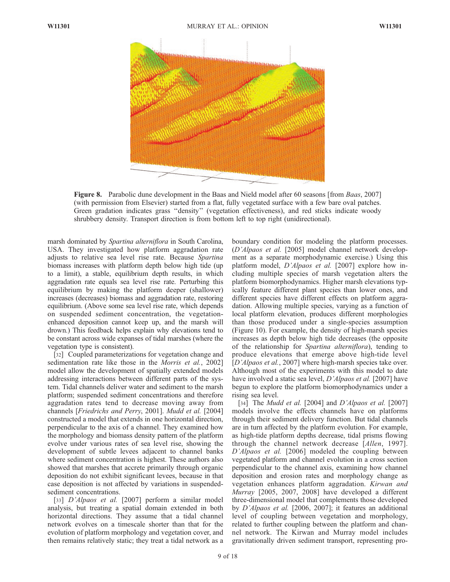

Figure 8. Parabolic dune development in the Baas and Nield model after 60 seasons [from Baas, 2007] (with permission from Elsevier) started from a flat, fully vegetated surface with a few bare oval patches. Green gradation indicates grass ''density'' (vegetation effectiveness), and red sticks indicate woody shrubbery density. Transport direction is from bottom left to top right (unidirectional).

marsh dominated by Spartina alterniflora in South Carolina, USA. They investigated how platform aggradation rate adjusts to relative sea level rise rate. Because Spartina biomass increases with platform depth below high tide (up to a limit), a stable, equilibrium depth results, in which aggradation rate equals sea level rise rate. Perturbing this equilibrium by making the platform deeper (shallower) increases (decreases) biomass and aggradation rate, restoring equilibrium. (Above some sea level rise rate, which depends on suspended sediment concentration, the vegetationenhanced deposition cannot keep up, and the marsh will drown.) This feedback helps explain why elevations tend to be constant across wide expanses of tidal marshes (where the vegetation type is consistent).

[32] Coupled parameterizations for vegetation change and sedimentation rate like those in the *Morris et al.*, 2002] model allow the development of spatially extended models addressing interactions between different parts of the system. Tidal channels deliver water and sediment to the marsh platform; suspended sediment concentrations and therefore aggradation rates tend to decrease moving away from channels [Friedrichs and Perry, 2001]. Mudd et al. [2004] constructed a model that extends in one horizontal direction, perpendicular to the axis of a channel. They examined how the morphology and biomass density pattern of the platform evolve under various rates of sea level rise, showing the development of subtle levees adjacent to channel banks where sediment concentration is highest. These authors also showed that marshes that accrete primarily through organic deposition do not exhibit significant levees, because in that case deposition is not affected by variations in suspendedsediment concentrations.

[33] *D'Alpaos et al.* [2007] perform a similar model analysis, but treating a spatial domain extended in both horizontal directions. They assume that a tidal channel network evolves on a timescale shorter than that for the evolution of platform morphology and vegetation cover, and then remains relatively static; they treat a tidal network as a

boundary condition for modeling the platform processes. (D'Alpaos et al. [2005] model channel network development as a separate morphodynamic exercise.) Using this platform model, D'Alpaos et al. [2007] explore how including multiple species of marsh vegetation alters the platform biomorphodynamics. Higher marsh elevations typically feature different plant species than lower ones, and different species have different effects on platform aggradation. Allowing multiple species, varying as a function of local platform elevation, produces different morphologies than those produced under a single-species assumption (Figure 10). For example, the density of high-marsh species increases as depth below high tide decreases (the opposite of the relationship for Spartina alterniflora), tending to produce elevations that emerge above high-tide level [D'Alpaos et al., 2007] where high-marsh species take over. Although most of the experiments with this model to date have involved a static sea level, *D'Alpaos et al.* [2007] have begun to explore the platform biomorphodynamics under a rising sea level.

[34] The *Mudd et al.* [2004] and  $D'Alpaos$  *et al.* [2007] models involve the effects channels have on platforms through their sediment delivery function. But tidal channels are in turn affected by the platform evolution. For example, as high-tide platform depths decrease, tidal prisms flowing through the channel network decrease [Allen, 1997]. D'Alpaos et al. [2006] modeled the coupling between vegetated platform and channel evolution in a cross section perpendicular to the channel axis, examining how channel deposition and erosion rates and morphology change as vegetation enhances platform aggradation. Kirwan and Murray [2005, 2007, 2008] have developed a different three-dimensional model that complements those developed by D'Alpaos et al. [2006, 2007]; it features an additional level of coupling between vegetation and morphology, related to further coupling between the platform and channel network. The Kirwan and Murray model includes gravitationally driven sediment transport, representing pro-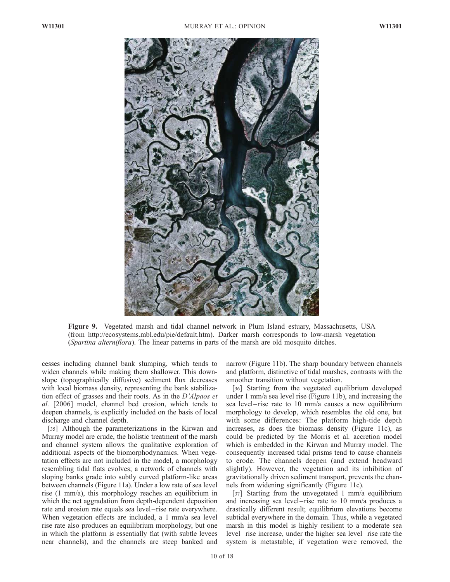

Figure 9. Vegetated marsh and tidal channel network in Plum Island estuary, Massachusetts, USA (from http://ecosystems.mbl.edu/pie/default.htm). Darker marsh corresponds to low-marsh vegetation (Spartina alterniflora). The linear patterns in parts of the marsh are old mosquito ditches.

cesses including channel bank slumping, which tends to widen channels while making them shallower. This downslope (topographically diffusive) sediment flux decreases with local biomass density, representing the bank stabilization effect of grasses and their roots. As in the D'Alpaos et al. [2006] model, channel bed erosion, which tends to deepen channels, is explicitly included on the basis of local discharge and channel depth.

[35] Although the parameterizations in the Kirwan and Murray model are crude, the holistic treatment of the marsh and channel system allows the qualitative exploration of additional aspects of the biomorphodynamics. When vegetation effects are not included in the model, a morphology resembling tidal flats evolves; a network of channels with sloping banks grade into subtly curved platform-like areas between channels (Figure 11a). Under a low rate of sea level rise (1 mm/a), this morphology reaches an equilibrium in which the net aggradation from depth-dependent deposition rate and erosion rate equals sea level – rise rate everywhere. When vegetation effects are included, a 1 mm/a sea level rise rate also produces an equilibrium morphology, but one in which the platform is essentially flat (with subtle levees near channels), and the channels are steep banked and narrow (Figure 11b). The sharp boundary between channels and platform, distinctive of tidal marshes, contrasts with the smoother transition without vegetation.

[36] Starting from the vegetated equilibrium developed under 1 mm/a sea level rise (Figure 11b), and increasing the sea level-rise rate to 10 mm/a causes a new equilibrium morphology to develop, which resembles the old one, but with some differences: The platform high-tide depth increases, as does the biomass density (Figure 11c), as could be predicted by the Morris et al. accretion model which is embedded in the Kirwan and Murray model. The consequently increased tidal prisms tend to cause channels to erode. The channels deepen (and extend headward slightly). However, the vegetation and its inhibition of gravitationally driven sediment transport, prevents the channels from widening significantly (Figure 11c).

[37] Starting from the unvegetated 1 mm/a equilibrium and increasing sea level-rise rate to 10 mm/a produces a drastically different result; equilibrium elevations become subtidal everywhere in the domain. Thus, while a vegetated marsh in this model is highly resilient to a moderate sea level – rise increase, under the higher sea level – rise rate the system is metastable; if vegetation were removed, the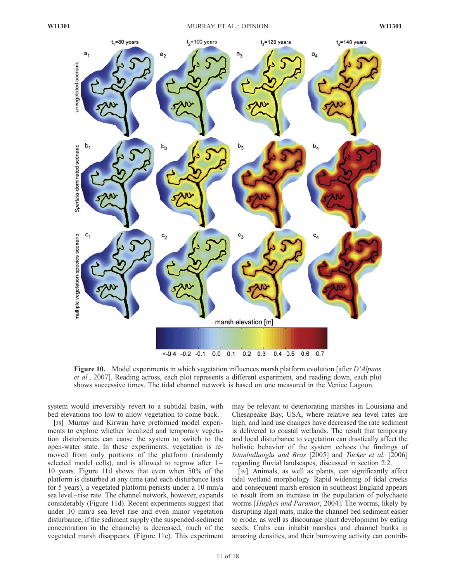

Figure 10. Model experiments in which vegetation influences marsh platform evolution [after D'Alpaos et al., 2007]. Reading across, each plot represents a different experiment, and reading down, each plot shows successive times. The tidal channel network is based on one measured in the Venice Lagoon.

system would irreversibly revert to a subtidal basin, with bed elevations too low to allow vegetation to come back.

[38] Murray and Kirwan have preformed model experiments to explore whether localized and temporary vegetation disturbances can cause the system to switch to the open-water state. In these experiments, vegetation is removed from only portions of the platform (randomly selected model cells), and is allowed to regrow after  $1 -$ 10 years. Figure 11d shows that even when 50% of the platform is disturbed at any time (and each disturbance lasts for 5 years), a vegetated platform persists under a 10 mm/a sea level-rise rate. The channel network, however, expands considerably (Figure 11d). Recent experiments suggest that under 10 mm/a sea level rise and even minor vegetation disturbance, if the sediment supply (the suspended-sediment concentration in the channels) is decreased, much of the vegetated marsh disappears. (Figure 11e). This experiment

may be relevant to deteriorating marshes in Louisiana and Chesapeake Bay, USA, where relative sea level rates are high, and land use changes have decreased the rate sediment is delivered to coastal wetlands. The result that temporary and local disturbance to vegetation can drastically affect the holistic behavior of the system echoes the findings of Istanbulluoglu and Bras [2005] and Tucker et al. [2006] regarding fluvial landscapes, discussed in section 2.2.

[39] Animals, as well as plants, can significantly affect tidal wetland morphology. Rapid widening of tidal creeks and consequent marsh erosion in southeast England appears to result from an increase in the population of polychaete worms [Hughes and Paramor, 2004]. The worms, likely by disrupting algal mats, make the channel bed sediment easier to erode, as well as discourage plant development by eating seeds. Crabs can inhabit marshes and channel banks in amazing densities, and their burrowing activity can contrib-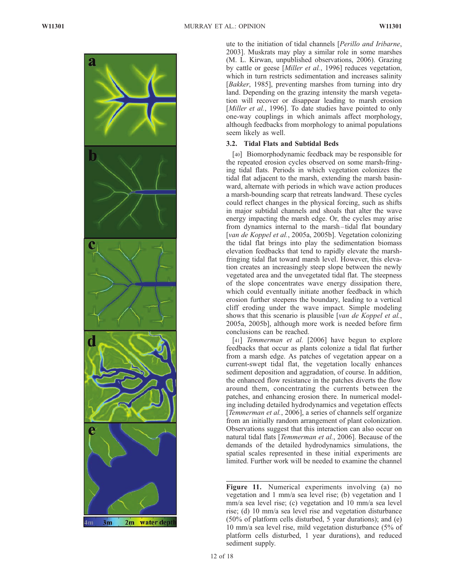

ute to the initiation of tidal channels [Perillo and Iribarne, 2003]. Muskrats may play a similar role in some marshes (M. L. Kirwan, unpublished observations, 2006). Grazing by cattle or geese [Miller et al., 1996] reduces vegetation, which in turn restricts sedimentation and increases salinity [Bakker, 1985], preventing marshes from turning into dry land. Depending on the grazing intensity the marsh vegetation will recover or disappear leading to marsh erosion [Miller et al., 1996]. To date studies have pointed to only one-way couplings in which animals affect morphology, although feedbacks from morphology to animal populations seem likely as well.

## 3.2. Tidal Flats and Subtidal Beds

[40] Biomorphodynamic feedback may be responsible for the repeated erosion cycles observed on some marsh-fringing tidal flats. Periods in which vegetation colonizes the tidal flat adjacent to the marsh, extending the marsh basinward, alternate with periods in which wave action produces a marsh-bounding scarp that retreats landward. These cycles could reflect changes in the physical forcing, such as shifts in major subtidal channels and shoals that alter the wave energy impacting the marsh edge. Or, the cycles may arise from dynamics internal to the marsh-tidal flat boundary [van de Koppel et al., 2005a, 2005b]. Vegetation colonizing the tidal flat brings into play the sedimentation biomass elevation feedbacks that tend to rapidly elevate the marshfringing tidal flat toward marsh level. However, this elevation creates an increasingly steep slope between the newly vegetated area and the unvegetated tidal flat. The steepness of the slope concentrates wave energy dissipation there, which could eventually initiate another feedback in which erosion further steepens the boundary, leading to a vertical cliff eroding under the wave impact. Simple modeling shows that this scenario is plausible [van de Koppel et al., 2005a, 2005b], although more work is needed before firm conclusions can be reached.

[41] *Temmerman et al.* [2006] have begun to explore feedbacks that occur as plants colonize a tidal flat further from a marsh edge. As patches of vegetation appear on a current-swept tidal flat, the vegetation locally enhances sediment deposition and aggradation, of course. In addition, the enhanced flow resistance in the patches diverts the flow around them, concentrating the currents between the patches, and enhancing erosion there. In numerical modeling including detailed hydrodynamics and vegetation effects [*Temmerman et al.*, 2006], a series of channels self organize from an initially random arrangement of plant colonization. Observations suggest that this interaction can also occur on natural tidal flats [Temmerman et al., 2006]. Because of the demands of the detailed hydrodynamics simulations, the spatial scales represented in these initial experiments are limited. Further work will be needed to examine the channel

Figure 11. Numerical experiments involving (a) no vegetation and 1 mm/a sea level rise; (b) vegetation and 1 mm/a sea level rise; (c) vegetation and 10 mm/a sea level rise; (d) 10 mm/a sea level rise and vegetation disturbance (50% of platform cells disturbed, 5 year durations); and (e) 10 mm/a sea level rise, mild vegetation disturbance (5% of platform cells disturbed, 1 year durations), and reduced sediment supply.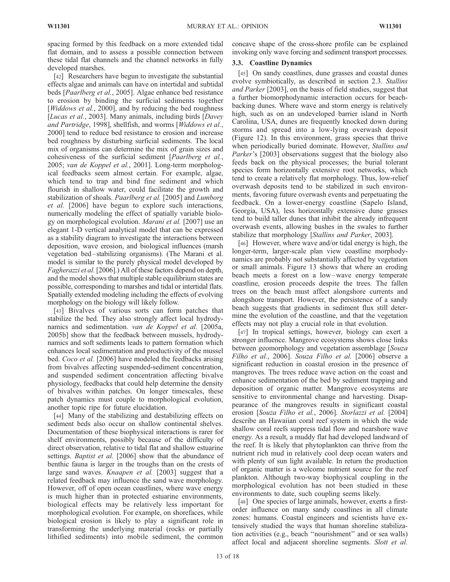spacing formed by this feedback on a more extended tidal flat domain, and to assess a possible connection between these tidal flat channels and the channel networks in fully developed marshes.

[42] Researchers have begun to investigate the substantial effects algae and animals can have on intertidal and subtidal beds [Paarlberg et al., 2005]. Algae enhance bed resistance to erosion by binding the surficial sediments together [Widdows et al., 2000], and by reducing the bed roughness [Lucas et al., 2003]. Many animals, including birds [Davey and Partridge, 1998], shellfish, and worms [Widdows et al., 2000] tend to reduce bed resistance to erosion and increase bed roughness by disturbing surficial sediments. The local mix of organisms can determine the mix of grain sizes and cohesiveness of the surficial sediment [Paarlberg et al., 2005; van de Koppel et al., 2001]. Long-term morphological feedbacks seem almost certain. For example, algae, which tend to trap and bind fine sediment and which flourish in shallow water, could facilitate the growth and stabilization of shoals. Paarlberg et al. [2005] and Lumborg et al. [2006] have begun to explore such interactions, numerically modeling the effect of spatially variable biology on morphological evolution. Marani et al. [2007] use an elegant 1-D vertical analytical model that can be expressed as a stability diagram to investigate the interactions between deposition, wave erosion, and biological influences (marsh vegetation bed–stabilizing organisms). (The Marani et al. model is similar to the purely physical model developed by Fagherazzi et al. [2006].) All of these factors depend on depth, and the model shows that multiple stable equilibrium states are possible, corresponding to marshes and tidal or intertidal flats. Spatially extended modeling including the effects of evolving morphology on the biology will likely follow.

[43] Bivalves of various sorts can form patches that stabilize the bed. They also strongly affect local hydrodynamics and sedimentation. van de Koppel et al. [2005a, 2005b] show that the feedback between mussels, hydrodynamics and soft sediments leads to pattern formation which enhances local sedimentation and productivity of the mussel bed. Coco et al. [2006] have modeled the feedbacks arising from bivalves affecting suspended-sediment concentration, and suspended sediment concentration affecting bivalve physiology, feedbacks that could help determine the density of bivalves within patches. On longer timescales, these patch dynamics must couple to morphological evolution, another topic ripe for future elucidation.

[44] Many of the stabilizing and destabilizing effects on sediment beds also occur on shallow continental shelves. Documentation of these biophysical interactions is rarer for shelf environments, possibly because of the difficulty of direct observation, relative to tidal flat and shallow estuarine settings. Baptist et al. [2006] show that the abundance of benthic fauna is larger in the troughs than on the crests of large sand waves. Knaapen et al. [2003] suggest that a related feedback may influence the sand wave morphology. However, off of open ocean coastlines, where wave energy is much higher than in protected estuarine environments, biological effects may be relatively less important for morphological evolution. For example, on shorefaces, while biological erosion is likely to play a significant role in transforming the underlying material (rocks or partially lithified sediments) into mobile sediment, the common

concave shape of the cross-shore profile can be explained invoking only wave forcing and sediment transport processes.

## 3.3. Coastline Dynamics

[45] On sandy coastlines, dune grasses and coastal dunes evolve symbiotically, as described in section 2.3. Stallins and Parker [2003], on the basis of field studies, suggest that a further biomorphodynamic interaction occurs for beachbacking dunes. Where wave and storm energy is relatively high, such as on an undeveloped barrier island in North Carolina, USA, dunes are frequently knocked down during storms and spread into a low-lying overwash deposit (Figure 12). In this environment, grass species that thrive when periodically buried dominate. However, Stallins and Parker's [2003] observations suggest that the biology also feeds back on the physical processes; the burial tolerant species form horizontally extensive root networks, which tend to create a relatively flat morphology. Thus, low-relief overwash deposits tend to be stabilized in such environments, favoring future overwash events and perpetuating the feedback. On a lower-energy coastline (Sapelo Island, Georgia, USA), less horizontally extensive dune grasses tend to build taller dunes that inhibit the already infrequent overwash events, allowing bushes in the swales to further stabilize that morphology [Stallins and Parker, 2003].

[46] However, where wave and/or tidal energy is high, the longer-term, larger-scale plan view coastline morphodynamics are probably not substantially affected by vegetation or small animals. Figure 13 shows that where an eroding beach meets a forest on a low-wave energy temperate coastline, erosion proceeds despite the trees. The fallen trees on the beach must affect alongshore currents and alongshore transport. However, the persistence of a sandy beach suggests that gradients in sediment flux still determine the evolution of the coastline, and that the vegetation effects may not play a crucial role in that evolution.

[47] In tropical settings, however, biology can exert a stronger influence. Mangrove ecosystems shows close links between geomorphology and vegetation assemblage [Souza] Filho et al., 2006]. Souza Filho et al. [2006] observe a significant reduction in coastal erosion in the presence of mangroves. The trees reduce wave action on the coast and enhance sedimentation of the bed by sediment trapping and deposition of organic matter. Mangrove ecosystems are sensitive to environmental change and harvesting. Disappearance of the mangroves results in significant coastal erosion [Souza Filho et al., 2006]. Storlazzi et al. [2004] describe an Hawaiian coral reef system in which the wide shallow coral reefs suppress tidal flow and nearshore wave energy. As a result, a muddy flat had developed landward of the reef. It is likely that phytoplankton can thrive from the nutrient rich mud in relatively cool deep ocean waters and with plenty of sun light available. In return the production of organic matter is a welcome nutrient source for the reef plankton. Although two-way biophysical coupling in the morphological evolution has not been studied in these environments to date, such coupling seems likely.

[48] One species of large animals, however, exerts a firstorder influence on many sandy coastlines in all climate zones: humans. Coastal engineers and scientists have extensively studied the ways that human shoreline stabilization activities (e.g., beach ''nourishment'' and or sea walls) affect local and adjacent shoreline segments. Slott et al.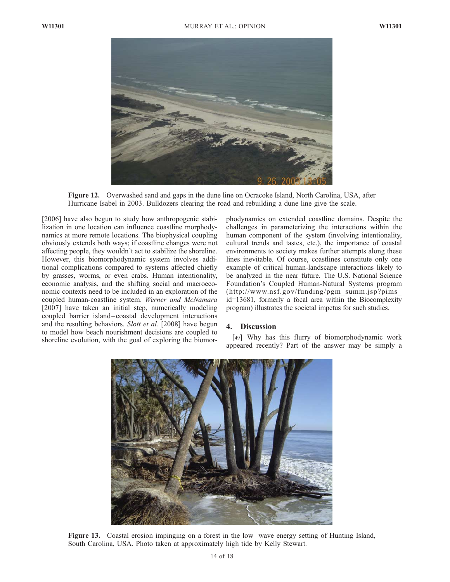

Figure 12. Overwashed sand and gaps in the dune line on Ocracoke Island, North Carolina, USA, after Hurricane Isabel in 2003. Bulldozers clearing the road and rebuilding a dune line give the scale.

[2006] have also begun to study how anthropogenic stabilization in one location can influence coastline morphodynamics at more remote locations. The biophysical coupling obviously extends both ways; if coastline changes were not affecting people, they wouldn't act to stabilize the shoreline. However, this biomorphodynamic system involves additional complications compared to systems affected chiefly by grasses, worms, or even crabs. Human intentionality, economic analysis, and the shifting social and macroeconomic contexts need to be included in an exploration of the coupled human-coastline system. Werner and McNamara [2007] have taken an initial step, numerically modeling coupled barrier island –coastal development interactions and the resulting behaviors. Slott et al. [2008] have begun to model how beach nourishment decisions are coupled to shoreline evolution, with the goal of exploring the biomorphodynamics on extended coastline domains. Despite the challenges in parameterizing the interactions within the human component of the system (involving intentionality, cultural trends and tastes, etc.), the importance of coastal environments to society makes further attempts along these lines inevitable. Of course, coastlines constitute only one example of critical human-landscape interactions likely to be analyzed in the near future. The U.S. National Science Foundation's Coupled Human-Natural Systems program (http://www.nsf.gov/funding/pgm\_summ.jsp?pims\_ id=13681, formerly a focal area within the Biocomplexity program) illustrates the societal impetus for such studies.

## 4. Discussion

[49] Why has this flurry of biomorphodynamic work appeared recently? Part of the answer may be simply a



Figure 13. Coastal erosion impinging on a forest in the low–wave energy setting of Hunting Island, South Carolina, USA. Photo taken at approximately high tide by Kelly Stewart.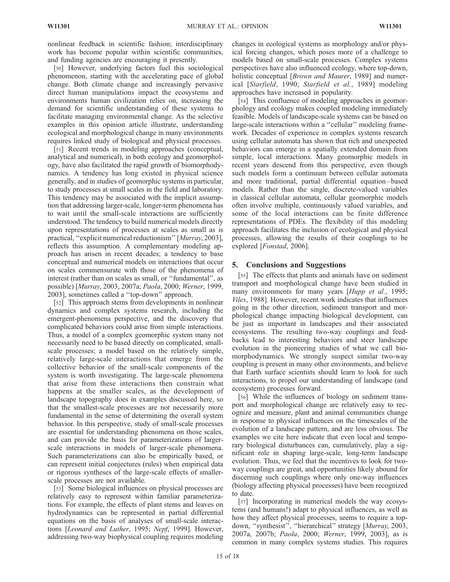nonlinear feedback in scientific fashion; interdisciplinary work has become popular within scientific communities, and funding agencies are encouraging it presently.

[50] However, underlying factors fuel this sociological phenomenon, starting with the accelerating pace of global change. Both climate change and increasingly pervasive direct human manipulations impact the ecosystems and environments human civilization relies on, increasing the demand for scientific understanding of these systems to facilitate managing environmental change. As the selective examples in this opinion article illustrate, understanding ecological and morphological change in many environments requires linked study of biological and physical processes.

[51] Recent trends in modeling approaches (conceptual, analytical and numerical), in both ecology and geomorphology, have also facilitated the rapid growth of biomorphodynamics. A tendency has long existed in physical science generally, and in studies of geomorphic systems in particular, to study processes at small scales in the field and laboratory. This tendency may be associated with the implicit assumption that addressing larger-scale, longer-term phenomena has to wait until the small-scale interactions are sufficiently understood. The tendency to build numerical models directly upon representations of processes at scales as small as is practical, ''explicit numerical reductionism'' [Murray, 2003], reflects this assumption. A complementary modeling approach has arisen in recent decades; a tendency to base conceptual and numerical models on interactions that occur on scales commensurate with those of the phenomena of interest (rather than on scales as small, or ''fundamental'', as possible) [Murray, 2003, 2007a; Paola, 2000; Werner, 1999, 2003], sometimes called a ''top-down'' approach.

[52] This approach stems from developments in nonlinear dynamics and complex systems research, including the emergent-phenomena perspective, and the discovery that complicated behaviors could arise from simple interactions. Thus, a model of a complex geomorphic system many not necessarily need to be based directly on complicated, smallscale processes; a model based on the relatively simple, relatively large-scale interactions that emerge from the collective behavior of the small-scale components of the system is worth investigating. The large-scale phenomena that arise from these interactions then constrain what happens at the smaller scales, as the development of landscape topography does in examples discussed here, so that the smallest-scale processes are not necessarily more fundamental in the sense of determining the overall system behavior. In this perspective, study of small-scale processes are essential for understanding phenomena on those scales, and can provide the basis for parameterizations of largerscale interactions in models of larger-scale phenomena. Such parameterizations can also be empirically based, or can represent initial conjectures (rules) when empirical data or rigorous syntheses of the large-scale effects of smallerscale processes are not available.

[53] Some biological influences on physical processes are relatively easy to represent within familiar parameterizations. For example, the effects of plant stems and leaves on hydrodynamics can be represented in partial differential equations on the basis of analyses of small-scale interactions [Leonard and Luther, 1995; Nepf, 1999]. However, addressing two-way biophysical coupling requires modeling changes in ecological systems as morphology and/or physical forcing changes, which poses more of a challenge to models based on small-scale processes. Complex systems perspectives have also influenced ecology, where top-down, holistic conceptual [Brown and Maurer, 1989] and numerical [Starfield, 1990; Starfield et al., 1989] modeling approaches have increased in popularity.

[54] This confluence of modeling approaches in geomorphology and ecology makes coupled modeling immediately feasible. Models of landscape-scale systems can be based on large-scale interactions within a ''cellular'' modeling framework. Decades of experience in complex systems research using cellular automata has shown that rich and unexpected behaviors can emerge in a spatially extended domain from simple, local interactions. Many geomorphic models in recent years descend from this perspective, even though such models form a continuum between cellular automata and more traditional, partial differential equation – based models. Rather than the single, discrete-valued variables in classical cellular automata, cellular geomorphic models often involve multiple, continuously valued variables, and some of the local interactions can be finite difference representations of PDEs. The flexibility of this modeling approach facilitates the inclusion of ecological and physical processes, allowing the results of their couplings to be explored [Fonstad, 2006].

## 5. Conclusions and Suggestions

[55] The effects that plants and animals have on sediment transport and morphological change have been studied in many environments for many years [Hupp et al., 1995; Viles, 1988]. However, recent work indicates that influences going in the other direction, sediment transport and morphological change impacting biological development, can be just as important in landscapes and their associated ecosystems. The resulting two-way couplings and feedbacks lead to interesting behaviors and steer landscape evolution in the pioneering studies of what we call biomorphodynamics. We strongly suspect similar two-way coupling is present in many other environments, and believe that Earth surface scientists should learn to look for such interactions, to propel our understanding of landscape (and ecosystem) processes forward.

[56] While the influences of biology on sediment transport and morphological change are relatively easy to recognize and measure, plant and animal communities change in response to physical influences on the timescales of the evolution of a landscape pattern, and are less obvious. The examples we cite here indicate that even local and temporary biological disturbances can, cumulatively, play a significant role in shaping large-scale, long-term landscape evolution. Thus, we feel that the incentives to look for twoway couplings are great, and opportunities likely abound for discerning such couplings where only one-way influences (biology affecting physical processes) have been recognized to date.

[57] Incorporating in numerical models the way ecosystems (and humans!) adapt to physical influences, as well as how they affect physical processes, seems to require a topdown, "synthesist", "hierarchical" strategy [Murray, 2003, 2007a, 2007b; Paola, 2000; Werner, 1999, 2003], as is common in many complex systems studies. This requires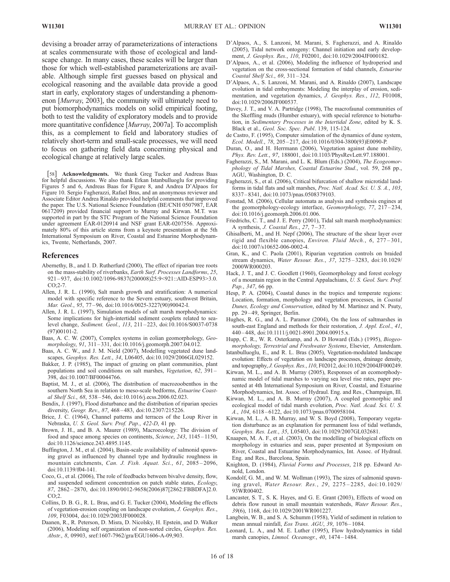devising a broader array of parameterizations of interactions at scales commensurate with those of ecological and landscape change. In many cases, these scales will be larger than those for which well-established parameterizations are available. Although simple first guesses based on physical and ecological reasoning and the available data provide a good start in early, exploratory stages of understanding a phenomenon [Murray, 2003], the community will ultimately need to put biomorphodynamics models on solid empirical footing, both to test the validity of exploratory models and to provide more quantitative confidence [Murray, 2007a]. To accomplish this, as a complement to field and laboratory studies of relatively short-term and small-scale processes, we will need to focus on gathering field data concerning physical and ecological change at relatively large scales.

[58] Acknowledgments. We thank Greg Tucker and Andreas Baas for helpful discussions. We also thank Erkan Istanbulluoglu for providing Figures 5 and 6, Andreas Baas for Figure 8, and Andrea D'Alpaos for Figure 10. Sergio Fagherazzi, Rafael Bras, and an anonymous reviewer and Associate Editor Andrea Rinaldo provided helpful comments that improved the paper. The U.S. National Science Foundation (BE/CNH 0507987, EAR 0617209) provided financial support to Murray and Kirwan. M.T. was supported in part by the STC Program of the National Science Foundation under agreement EAR-0120914 and NSF grant EAR-0207556. Approximately 80% of this article stems from a keynote presentation at the 5th International Symposium on River, Coastal and Estuarine Morphodynamics, Twente, Netherlands, 2007.

#### References

- Abernethy, B., and I. D. Rutherfurd (2000), The effect of riparian tree roots on the mass-stability of riverbanks, Earth Surf. Processes Landforms, 25, 921 – 937, doi:10.1002/1096-9837(200008)25:9<921::AID-ESP93>3.0. CO;2-7.
- Allen, J. R. L. (1990), Salt marsh growth and stratification: A numerical model with specific reference to the Severn estuary, southwest Britain, Mar. Geol., 95, 77 – 96, doi:10.1016/0025-3227(90)90042-I.
- Allen, J. R. L. (1997), Simulation models of salt marsh morphodynamics: Some implications for high-intertidal sediment couplets related to sealevel change, Sediment. Geol., 113, 211 – 223, doi:10.1016/S0037-0738 (97)00101-2.
- Baas, A. C. W. (2007), Complex systems in eolian geomorphology, Geomorphology, 91, 311 – 331, doi:10.1016/j.geomorph.2007.04.012.
- Baas, A. C. W., and J. M. Nield (2007), Modelling vegetated dune landscapes, Geophys. Res. Lett., 34, L06405, doi:10.1029/2006GL029152.
- Bakker, J. P. (1985), The impact of grazing on plant communities, plant populations and soil conditions on salt marshes, Vegetation, 62, 391 – 398, doi:10.1007/BF00044766.
- Baptist, M. J., et al. (2006), The distribution of macrozoobenthos in the southern North Sea in relation to meso-scale bedforms, *Estuarine Coast*al Shelf Sci., 68, 538 – 546, doi:10.1016/j.ecss.2006.02.023.
- Bendix, J. (1997), Flood disturbance and the distribution of riparian species diversity, Geogr. Rev., 87, 468 – 483, doi:10.2307/215226.
- Brice, J. C. (1964), Channel patterns and terraces of the Loup River in Nebraska, U. S. Geol. Surv. Prof. Pap., 422-D, 41 pp.
- Brown, J. H., and B. A. Maurer (1989), Macroecology: The division of food and space among species on continents, Science, 243, 1145-1150, doi:10.1126/science.243.4895.1145.
- Buffington, J. M., et al. (2004), Basin-scale availability of salmonid spawning gravel as influenced by channel type and hydraulic roughness in mountain catchments, Can. J. Fish. Aquat. Sci., 61, 2085 – 2096, doi:10.1139/f04-141.
- Coco, G., et al. (2006), The role of feedbacks between bivalve density, flow, and suspended sediment concentration on patch stable states, Ecology, 87, 2862 – 2870, doi:10.1890/0012-9658(2006)87[2862:FBBDFA]2.0. CO;2.
- Collins, D. B. G., R. L. Bras, and G. E. Tucker (2004), Modeling the effects of vegetation-erosion coupling on landscape evolution, J. Geophys. Res., 109, F03004, doi:10.1029/2003JF000028.
- Daanen, R., R. Peterson, D. Misra, D. Nicolsky, H. Epstein, and D. Walker (2006), Modeling self organization of non-sorted circles, Geophys. Res. Abstr., 8, 09903, sref:1607-7962/gra/EGU1606-A-09,903.
- D'Alpaos, A., S. Lanzoni, M. Marani, S. Fagherazzi, and A. Rinaldo (2005), Tidal network ontogeny: Channel initiation and early development, J. Geophys. Res., 110, F02001, doi:10.1029/2004JF000182.
- D'Alpaos, A., et al. (2006), Modeling the influence of hydroperiod and vegetation on the cross-sectional formation of tidal channels, Estuarine Coastal Shelf Sci., 69, 311-324.
- D'Alpaos, A., S. Lanzoni, M. Marani, and A. Rinaldo (2007), Landscape evolution in tidal embayments: Modeling the interplay of erosion, sedimentation, and vegetation dynamics, J. Geophys. Res., 112, F01008, doi:10.1029/2006JF000537.
- Davey, J. T., and V. A. Partridge (1998), The macrofaunal communities of the Skeffling muds (Humber estuary), with special reference to bioturbation, in Sedimentary Processes in the Intertidal Zone, edited by K. S. Black et al., Geol. Soc. Spec. Publ. 139, 115-124.
- de Castro, F. (1995), Computer simulation of the dynamics of dune system, Ecol. Modell., 78, 205 – 217, doi:10.1016/0304-3800(93)E0090-P.
- Duran, O., and H. Herrmann (2006), Vegetation against dune mobility, Phys. Rev. Lett., 97, 188001, doi:10.1103/PhysRevLett.97.188001.
- Fagherazzi, S., M. Marani, and L. K. Blum (Eds.) (2004), *The Ecogeomor*phology of Tidal Marshes, Coastal Estuarine Stud., vol. 59, 268 pp., AGU, Washington, D. C.
- Fagherazzi, S., et al. (2006), Critical bifurcation of shallow microtidal landforms in tidal flats and salt marshes, Proc. Natl. Acad. Sci. U. S. A., 103, 8337 – 8341, doi:10.1073/pnas.0508379103.
- Fonstad, M. (2006), Cellular automata as analysis and synthesis engines at the geomorphology-ecology interface, Geomorphology, 77, 217 – 234, doi:10.1016/j.geomorph.2006.01.006.
- Friedrichs, C. T., and J. E. Perry (2001), Tidal salt marsh morphodynamics: A synthesis, J. Coastal Res., 27, 7 – 37.
- Ghisalberti, M., and H. Nepf (2006), The structure of the shear layer over rigid and flexible canopies, Environ. Fluid Mech., 6, 277 – 301, doi:10.1007/s10652-006-0002-4.
- Gran, K., and C. Paola (2001), Riparian vegetation controls on braided stream dynamics, Water Resour. Res., 37, 3275 – 3283, doi:10.1029/ 2000WR000203.
- Hack, J. T., and J. C. Goodlett (1960), Geomorphology and forest ecology of a mountain region in the Central Appalachians, U. S. Geol. Surv. Prof. Pap., 347, 66 pp.
- Hesp, P. A. (2004), Coastal dunes in the tropics and temperate regions: Location, formation, morphology and vegetation processes, in Coastal Dunes, Ecology and Conservation, edited by M. Martinez and N. Psuty, pp. 29 – 49, Springer, Berlin.
- Hughes, R. G., and A. L. Paramor (2004), On the loss of saltmarshes in south-east England and methods for their restoration, *J. Appl. Ecol.*, 41, 440 – 448, doi:10.1111/j.0021-8901.2004.00915.x.
- Hupp, C. R., W. R. Osterkamp, and A. D Howard (Eds.) (1995), Biogeomorphology, Terrestrial and Freshwater Systems, Elsevier, Amsterdam.
- Istanbulluoglu, E., and R. L. Bras (2005), Vegetation-modulated landscape evolution: Effects of vegetation on landscape processes, drainage density, and topography, J. Geophys. Res., 110, F02012, doi:10.1029/2004JF000249.
- Kirwan, M. L., and A. B. Murray (2005), Responses of an ecomorphodynamic model of tidal marshes to varying sea level rise rates, paper presented at 4th International Symposium on River, Coastal, and Estuarine Morphodynamics, Int. Assoc. of Hydraul. Eng. and Res., Champaign, Ill.
- Kirwan, M. L., and A. B. Murray (2007), A coupled geomorphic and ecological model of tidal marsh evolution, Proc. Natl. Acad. Sci. U. S. A., 104, 6118-6122, doi:10.1073/pnas.0700958104.
- Kirwan, M. L., A. B. Murray, and W. S. Boyd (2008), Temporary vegetation disturbance as an explanation for permanent loss of tidal wetlands, Geophys. Res. Lett., 35, L05403, doi:10.1029/2007GL032681.
- Knaapen, M. A. F., et al. (2003), On the modelling of biological effects on morphology in estuaries and seas, paper presented at Symposium on River, Coastal and Estuarine Morphodynamics, Int. Assoc. of Hydraul. Eng. and Res., Barcelona, Spain.
- Knighton, D. (1984), Fluvial Forms and Processes, 218 pp. Edward Arnold, London.
- Kondolf, G. M., and W. M. Wollman (1993), The sizes of salmonid spawning gravel, Water Resour. Res., 29, 2275 – 2285, doi:10.1029/ 93WR00402.
- Lancaster, S. T., S. K. Hayes, and G. E. Grant (2003), Effects of wood on debris flow runout in small mountain watersheds, Water Resour. Res., 39(6), 1168, doi:10.1029/2001WR001227.
- Langbein, W. B., and S. A. Schumm (1958), Yield of sediment in relation to mean annual rainfall, Eos Trans. AGU, 39, 1076-1084.
- Leonard, L. A., and M. E. Luther (1995), Flow hydrodynamics in tidal marsh canopies, Limnol. Oceanogr., 40, 1474-1484.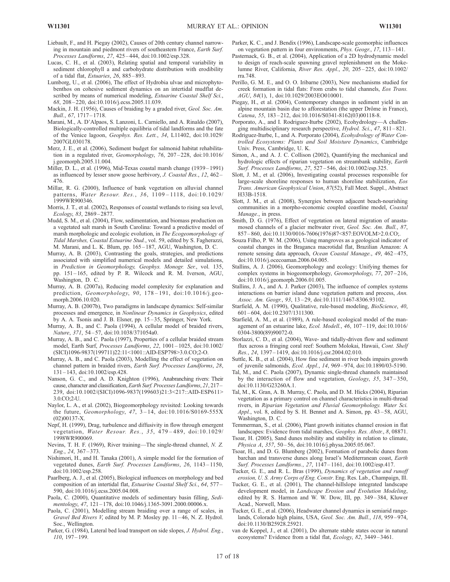Liebault, F., and H. Piegay (2002), Causes of 20th century channel narrowing in mountain and piedmont rivers of southeastern France, Earth Surf. Processes Landforms, 27, 425 – 444, doi:10.1002/esp.328.

- Lucas, C. H., et al. (2003), Relating spatial and temporal variability in sediment chlorophyll a and carbohydrate distribution with erodibility of a tidal flat, Estuaries, 26, 885 – 893.
- Lumborg, U., et al. (2006), The effect of Hydrobia ulvae and microphytobenthos on cohesive sediment dynamics on an intertidal mudflat described by means of numerical modeling, *Estuarine Coastal Shelf Sci.*, 68, 208 – 220, doi:10.1016/j.ecss.2005.11.039.
- Mackin, J. H. (1956), Causes of braiding by a graded river, Geol. Soc. Am. Bull., 67, 1717 – 1718.
- Marani, M., A. D'Alpaos, S. Lanzoni, L. Carniello, and A. Rinaldo (2007), Biologically-controlled multiple equilibria of tidal landforms and the fate of the Venice lagoon, Geophys. Res. Lett., 34, L11402, doi:10.1029/ 2007GL030178.
- Merz, J. E., et al. (2006), Sediment budget for salmonid habitat rehabilitation in a regulated river, Geomorphology, 76, 207 – 228, doi:10.1016/ j.geomorph.2005.11.004.
- Miller, D. L., et al. (1996), Mid-Texas coastal marsh change (1939 1991) as influenced by lesser snow goose herbivory, J. Coastal Res., 12, 462 – 476.
- Millar, R. G. (2000), Influence of bank vegetation on alluvial channel patterns, Water Resour. Res., 36, 1109 – 1118, doi:10.1029/ 1999WR900346.
- Morris, J. T., et al. (2002), Responses of coastal wetlands to rising sea level, Ecology, 83, 2869 – 2877.
- Mudd, S. M., et al. (2004), Flow, sedimentation, and biomass production on a vegetated salt marsh in South Carolina: Toward a predictive model of marsh morphologic and ecologic evolution, in The Ecogeomorphology of Tidal Marshes, Coastal Estuarine Stud., vol. 59, edited by S. Fagherazzi, M. Marani, and L. K. Blum, pp. 165 – 187, AGU, Washington, D. C.
- Murray, A. B. (2003), Contrasting the goals, strategies, and predictions associated with simplified numerical models and detailed simulations, in Prediction in Geomorphology, Geophys. Monogr. Ser., vol. 135, pp. 151 – 165, edited by P. R. Wilcock and R. M. Iverson, AGU, Washington, D. C.
- Murray, A. B. (2007a), Reducing model complexity for explanation and prediction, Geomorphology, 90, 178-191, doi:10.1016/j.geomorph.2006.10.020.
- Murray, A. B. (2007b), Two paradigms in landscape dynamics: Self-similar processes and emergence, in Nonlinear Dynamics in Geophysics, edited by A. A. Tsonis and J. B. Elsner, pp. 15 – 35, Springer, New York.
- Murray, A. B., and C. Paola (1994), A cellular model of braided rivers, Nature, 371, 54-57, doi:10.1038/371054a0.
- Murray, A. B., and C. Paola (1997), Properties of a cellular braided stream model, Earth Surf, Processes Landforms, 22, 1001 – 1025, doi:10.1002/ (SICI)1096-9837(199711)22:11<1001::AID-ESP798>3.0.CO;2-O.
- Murray, A. B., and C. Paola (2003), Modelling the effect of vegetation on channel pattern in braided rivers, Earth Surf. Processes Landforms, 28, 131 – 143, doi:10.1002/esp.428.
- Nanson, G. C., and A. D. Knighton (1996), Anabranching rivers: Their cause, character and classification, Earth Surf. Processes Landforms, 21, 217– 239, doi:10.1002/(SICI)1096-9837(199603)21:3<217::AID-ESP611>  $3.0 \text{ CO}$  $2$ -U.
- Naylor, L. A., et al. (2002), Biogeomorphology revisited: Looking towards the future, Geomorphology, 47, 3-14, doi:10.1016/S0169-555X (02)00137-X.
- Nepf, H. (1999), Drag, turbulence and diffusivity in flow through emergent vegetation, Water Resour. Res., 35, 479 – 489, doi:10.1029/ 1998WR900069.
- Nevins, T. H. F. (1969), River training—The single-thread channel, N. Z. Eng., 24, 367 – 373.
- Nishimori, H., and H. Tanaka (2001), A simple model for the formation of vegetated dunes, Earth Surf. Processes Landforms, 26, 1143 – 1150, doi:10.1002/esp.258.
- Paarlberg, A. J., et al. (2005), Biological influences on morphology and bed composition of an intertidal flat, Estuarine Coastal Shelf Sci., 64, 577 – 590, doi:10.1016/j.ecss.2005.04.008.
- Paola, C. (2000), Quantitative models of sedimentary basin filling, Sedimentology, 47, 121-178, doi:10.1046/j.1365-3091.2000.00006.x.
- Paola, C. (2001), Modelling stream braiding over a range of scales, in Gravel Bed Rivers V, edited by M. P. Mosley pp. 11-46, N. Z. Hydrol. Soc., Wellington.
- Parker, G. (1984), Lateral bed load transport on side slopes, J. Hydrol. Eng., 110, 197 – 199.
- Parker, K. C., and J. Bendix (1996), Landscape-scale geomorphic influences on vegetation pattern in four environments, Phys. Geogr., 17, 113 – 141.
- Pasternack, G. B., et al. (2004), Application of a 2D hydrodynamic model to design of reach-scale spawning gravel replenishment on the Mokelumne River, California, River Res. Appl., 20, 205 – 225, doi:10.1002/ rra.748.
- Perillo, G. M. E., and O. O. Iribarne (2003), New mechanisms studied for creek formation in tidal flats: From crabs to tidal channels, Eos Trans. AGU, 84(1), 1, doi:10.1029/2003EO010001.
- Piegay, H., et al. (2004), Contemporary changes in sediment yield in an alpine mountain basin due to afforestation (the upper Drôme in France), Catena, 55, 183 – 212, doi:10.1016/S0341-8162(03)00118-8.
- Porporato, A., and I. Rodriguez-Iturbe (2002), Ecohydrology—A challenging multidisciplinary research perspective, Hydrol. Sci., 47, 811-821.
- Rodriguez-Iturbe, I., and A. Porporato (2004), Ecohydrology of Water Controlled Ecosystems: Plants and Soil Moisture Dynamics, Cambridge Univ. Press, Cambridge, U. K.
- Simon, A., and A. J. C. Collison (2002), Quantifying the mechanical and hydrologic effects of riparian vegetation on streambank stability, Earth Surf. Processes Landforms, 27, 527 – 546, doi:10.1002/esp.325.
- Slott, J. M., et al. (2006), Investigating coastal processes responsible for large-scale shoreline responses to human shoreline stabilization, Eos Trans. American Geophysical Union, 87(52), Fall Meet. Suppl., Abstract H33B-1518.
- Slott, J. M., et al. (2008), Synergies between adjacent beach-nourishing communities in a morpho-economic coupled coastline model, Coastal Manage., in press.
- Smith, D. G. (1976), Effect of vegetation on lateral migration of anastamosed channels of a glacier meltwater river, Geol. Soc. Am. Bull., 87. 857 – 860, doi:10.1130/0016-7606(1976)87<857:EOVOLM>2.0.CO;.
- Souza Filho, P. W. M. (2006), Using mangroves as a geological indicator of coastal changes in the Braganca macrotidal flat, Brazilian Amazon: A remote sensing data approach, Ocean Coastal Manage., 49, 462-475, doi:10.1016/j.ocecoaman.2006.04.005.
- Stallins, A. J. (2006), Geomorphology and ecology: Unifying themes for complex systems in biogeomorphology, Geomorphology, 77, 207-216, doi:10.1016/j.geomorph.2006.01.005.
- Stallins, J. A., and A. J. Parker (2003), The influence of complex systems interactions on barrier island dune vegetation pattern and process, Ann. Assoc. Am. Geogr., 93, 13 – 29, doi:10.1111/1467-8306.93102.
- Starfield, A. M. (1990), Qualitative, rule-based modeling, BioScience, 40, 601 – 604, doi:10.2307/1311300.
- Starfield, A. M., et al. (1989), A rule-based ecological model of the management of an estuarine lake, Ecol. Modell., 46, 107 – 119, doi:10.1016/ 0304-3800(89)90072-0.
- Storlazzi, C. D., et al. (2004), Wave- and tidally-driven flow and sediment flux across a fringing coral reef: Southern Molokai, Hawaii, Cont. Shelf Res., 24, 1397 – 1419, doi:10.1016/j.csr.2004.02.010.
- Suttle, K. B., et al. (2004), How fine sediment in river beds impairs growth of juvenile salmonids, Ecol. Appl., 14, 969 – 974, doi:10.1890/03-5190.
- Tal, M., and C. Paola (2007), Dynamic single-thread channels maintained by the interaction of flow and vegetation, Geology, 35, 347 – 350, doi:10.1130/G23260A.1.
- Tal, M., K. Gran, A. B. Murray, C. Paola, and D. M. Hicks (2004), Riparian vegetation as a primary control on channel characteristics in multi-thread rivers, in Riparian Vegetation and Fluvial Geomorphology. Water Sci. Appl., vol. 8, edited by S. H. Bennet and A. Simon, pp. 43-58, AGU, Washington, D. C.
- Temmerman, S., et al. (2006), Plant growth initiates channel erosion in flat landscapes: Evidence from tidal marshes, Geophys. Res. Abstr., 8, 08871.
- Tsoar, H. (2005), Sand dunes mobility and stability in relation to climate, Physica A, 357, 50-56, doi:10.1016/j.physa.2005.05.067.
- Tsoar, H., and D. G. Blumberg (2002), Formation of parabolic dunes from barchan and transverse dunes along Israel's Mediterranean coast, Earth Surf. Processes Landforms., 27, 1147 – 1161, doi:10.1002/esp.417.
- Tucker, G. E., and R. L. Bras (1999), Dynamics of vegetation and runoff erosion, U. S. Army Corps of Eng. Constr. Eng. Res. Lab., Champaign, Ill.
- Tucker, G. E., et al. (2001), The channel-hillslope integrated landscape development model, in *Landscape Erosion and Evolution Modeling*, edited by R. S. Harmon and W. W. Dow, III, pp. 349-384, Kluwer Acad., Norwell, Mass.
- Tucker, G. E., et al. (2006), Headwater channel dynamics in semiarid rangelands, Colorado high plains, USA, Geol. Soc. Am. Bull., 118, 959-974, doi:10.1130/B25928.25921.
- van de Koppel, J., et al. (2001), Do alternate stable states occur in natural ecosystems? Evidence from a tidal flat, Ecology, 82, 3449-3461.